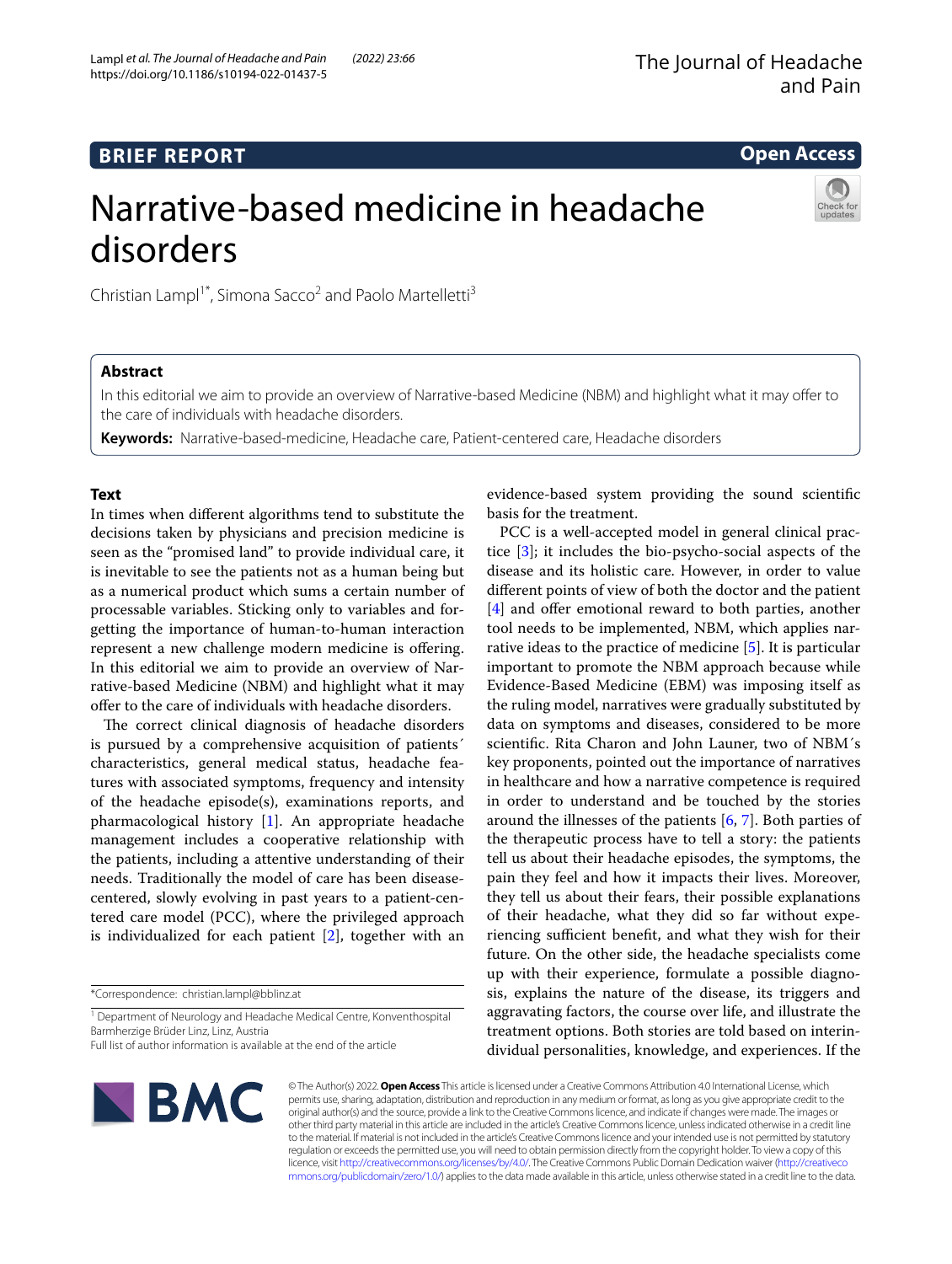# **BRIEF REPORT**

# **Open Access**

# Narrative-based medicine in headache disorders



Christian Lampl<sup>1\*</sup>, Simona Sacco<sup>2</sup> and Paolo Martelletti<sup>3</sup>

# **Abstract**

In this editorial we aim to provide an overview of Narrative-based Medicine (NBM) and highlight what it may ofer to the care of individuals with headache disorders.

**Keywords:** Narrative-based-medicine, Headache care, Patient-centered care, Headache disorders

## **Text**

In times when diferent algorithms tend to substitute the decisions taken by physicians and precision medicine is seen as the "promised land" to provide individual care, it is inevitable to see the patients not as a human being but as a numerical product which sums a certain number of processable variables. Sticking only to variables and forgetting the importance of human-to-human interaction represent a new challenge modern medicine is ofering. In this editorial we aim to provide an overview of Narrative-based Medicine (NBM) and highlight what it may offer to the care of individuals with headache disorders.

The correct clinical diagnosis of headache disorders is pursued by a comprehensive acquisition of patients´ characteristics, general medical status, headache features with associated symptoms, frequency and intensity of the headache episode(s), examinations reports, and pharmacological history [[1\]](#page-2-0). An appropriate headache management includes a cooperative relationship with the patients, including a attentive understanding of their needs. Traditionally the model of care has been diseasecentered, slowly evolving in past years to a patient-centered care model (PCC), where the privileged approach is individualized for each patient [[2\]](#page-2-1), together with an

\*Correspondence: christian.lampl@bblinz.at

<sup>1</sup> Department of Neurology and Headache Medical Centre, Konventhospital Barmherzige Brüder Linz, Linz, Austria

Full list of author information is available at the end of the article

evidence-based system providing the sound scientifc basis for the treatment.

PCC is a well-accepted model in general clinical practice [\[3](#page-2-2)]; it includes the bio-psycho-social aspects of the disease and its holistic care. However, in order to value diferent points of view of both the doctor and the patient [[4\]](#page-2-3) and offer emotional reward to both parties, another tool needs to be implemented, NBM, which applies narrative ideas to the practice of medicine [\[5](#page-2-4)]. It is particular important to promote the NBM approach because while Evidence-Based Medicine (EBM) was imposing itself as the ruling model, narratives were gradually substituted by data on symptoms and diseases, considered to be more scientifc. Rita Charon and John Launer, two of NBM´s key proponents, pointed out the importance of narratives in healthcare and how a narrative competence is required in order to understand and be touched by the stories around the illnesses of the patients  $[6, 7]$  $[6, 7]$  $[6, 7]$  $[6, 7]$ . Both parties of the therapeutic process have to tell a story: the patients tell us about their headache episodes, the symptoms, the pain they feel and how it impacts their lives. Moreover, they tell us about their fears, their possible explanations of their headache, what they did so far without experiencing sufficient benefit, and what they wish for their future. On the other side, the headache specialists come up with their experience, formulate a possible diagnosis, explains the nature of the disease, its triggers and aggravating factors, the course over life, and illustrate the treatment options. Both stories are told based on interindividual personalities, knowledge, and experiences. If the



© The Author(s) 2022. **Open Access** This article is licensed under a Creative Commons Attribution 4.0 International License, which permits use, sharing, adaptation, distribution and reproduction in any medium or format, as long as you give appropriate credit to the original author(s) and the source, provide a link to the Creative Commons licence, and indicate if changes were made. The images or other third party material in this article are included in the article's Creative Commons licence, unless indicated otherwise in a credit line to the material. If material is not included in the article's Creative Commons licence and your intended use is not permitted by statutory regulation or exceeds the permitted use, you will need to obtain permission directly from the copyright holder. To view a copy of this licence, visit [http://creativecommons.org/licenses/by/4.0/.](http://creativecommons.org/licenses/by/4.0/) The Creative Commons Public Domain Dedication waiver ([http://creativeco](http://creativecommons.org/publicdomain/zero/1.0/) [mmons.org/publicdomain/zero/1.0/](http://creativecommons.org/publicdomain/zero/1.0/)) applies to the data made available in this article, unless otherwise stated in a credit line to the data.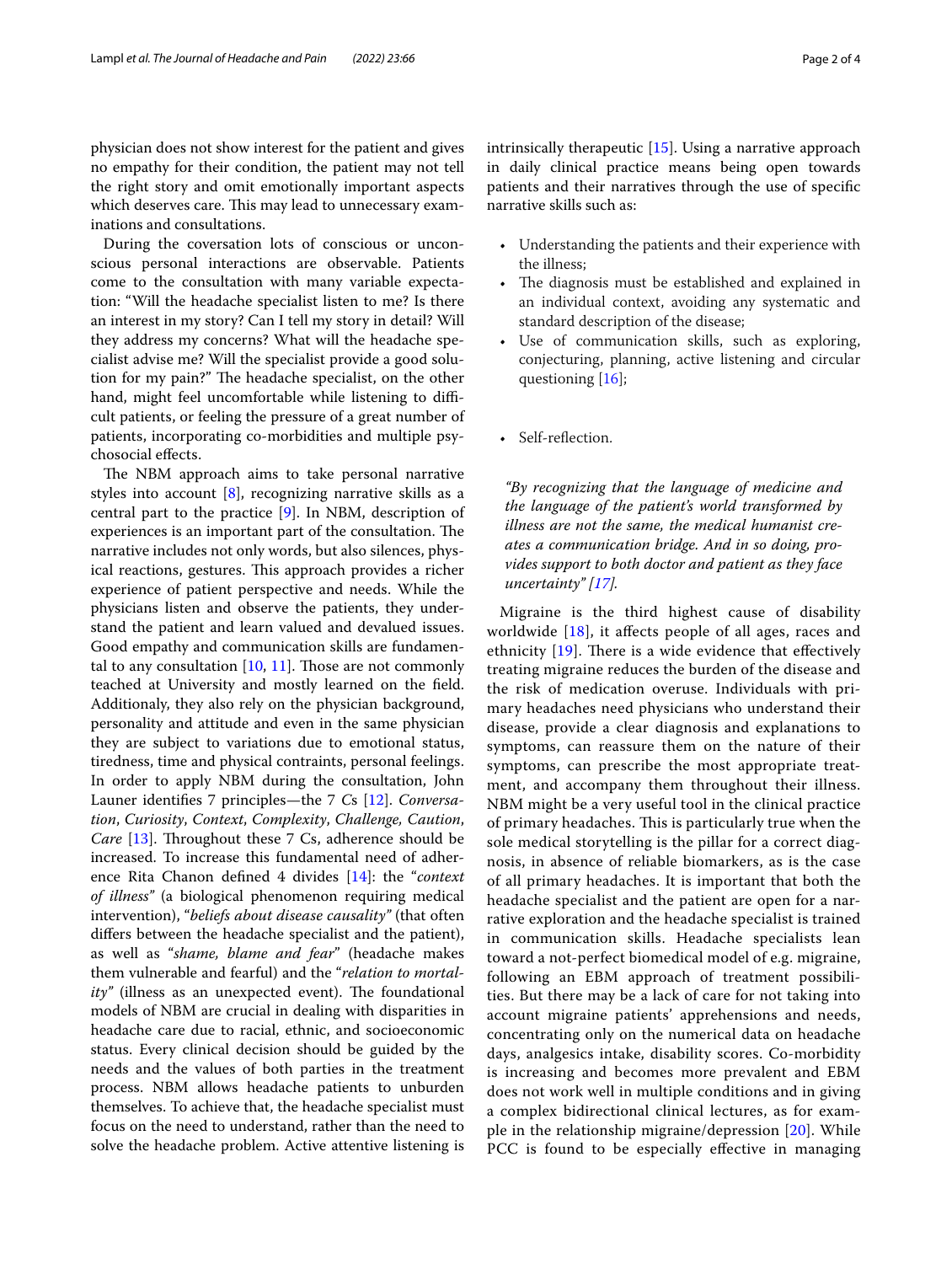physician does not show interest for the patient and gives no empathy for their condition, the patient may not tell the right story and omit emotionally important aspects which deserves care. This may lead to unnecessary examinations and consultations.

During the coversation lots of conscious or unconscious personal interactions are observable. Patients come to the consultation with many variable expectation: "Will the headache specialist listen to me? Is there an interest in my story? Can I tell my story in detail? Will they address my concerns? What will the headache specialist advise me? Will the specialist provide a good solution for my pain?" The headache specialist, on the other hand, might feel uncomfortable while listening to difficult patients, or feeling the pressure of a great number of patients, incorporating co-morbidities and multiple psychosocial efects.

The NBM approach aims to take personal narrative styles into account [[8\]](#page-2-7), recognizing narrative skills as a central part to the practice [\[9](#page-2-8)]. In NBM, description of experiences is an important part of the consultation. The narrative includes not only words, but also silences, physical reactions, gestures. This approach provides a richer experience of patient perspective and needs. While the physicians listen and observe the patients, they understand the patient and learn valued and devalued issues. Good empathy and communication skills are fundamental to any consultation  $[10, 11]$  $[10, 11]$  $[10, 11]$  $[10, 11]$  $[10, 11]$ . Those are not commonly teached at University and mostly learned on the feld. Additionaly, they also rely on the physician background, personality and attitude and even in the same physician they are subject to variations due to emotional status, tiredness, time and physical contraints, personal feelings. In order to apply NBM during the consultation, John Launer identifes 7 principles—the 7 *C*s [[12](#page-2-11)]. *Conversation*, *Curiosity*, *Context*, *Complexity*, *Challenge, Caution*, *Care* [\[13\]](#page-2-12). Throughout these 7 Cs, adherence should be increased. To increase this fundamental need of adherence Rita Chanon defned 4 divides [[14\]](#page-2-13): the "*context of illness"* (a biological phenomenon requiring medical intervention), "*beliefs about disease causality"* (that often difers between the headache specialist and the patient), as well as "*shame, blame and fear*" (headache makes them vulnerable and fearful) and the "*relation to mortality"* (illness as an unexpected event). The foundational models of NBM are crucial in dealing with disparities in headache care due to racial, ethnic, and socioeconomic status. Every clinical decision should be guided by the needs and the values of both parties in the treatment process. NBM allows headache patients to unburden themselves. To achieve that, the headache specialist must focus on the need to understand, rather than the need to solve the headache problem. Active attentive listening is intrinsically therapeutic [[15\]](#page-2-14). Using a narrative approach in daily clinical practice means being open towards patients and their narratives through the use of specifc narrative skills such as:

- Understanding the patients and their experience with the illness;
- The diagnosis must be established and explained in an individual context, avoiding any systematic and standard description of the disease;
- Use of communication skills, such as exploring, conjecturing, planning, active listening and circular questioning [\[16](#page-3-0)];
- Self-reflection.

*"By recognizing that the language of medicine and the language of the patient's world transformed by illness are not the same, the medical humanist creates a communication bridge. And in so doing, provides support to both doctor and patient as they face uncertainty" [[17\]](#page-3-1).*

Migraine is the third highest cause of disability worldwide  $[18]$  $[18]$  $[18]$ , it affects people of all ages, races and ethnicity  $[19]$  $[19]$ . There is a wide evidence that effectively treating migraine reduces the burden of the disease and the risk of medication overuse. Individuals with primary headaches need physicians who understand their disease, provide a clear diagnosis and explanations to symptoms, can reassure them on the nature of their symptoms, can prescribe the most appropriate treatment, and accompany them throughout their illness. NBM might be a very useful tool in the clinical practice of primary headaches. This is particularly true when the sole medical storytelling is the pillar for a correct diagnosis, in absence of reliable biomarkers, as is the case of all primary headaches. It is important that both the headache specialist and the patient are open for a narrative exploration and the headache specialist is trained in communication skills. Headache specialists lean toward a not-perfect biomedical model of e.g. migraine, following an EBM approach of treatment possibilities. But there may be a lack of care for not taking into account migraine patients' apprehensions and needs, concentrating only on the numerical data on headache days, analgesics intake, disability scores. Co-morbidity is increasing and becomes more prevalent and EBM does not work well in multiple conditions and in giving a complex bidirectional clinical lectures, as for example in the relationship migraine/depression [\[20](#page-3-4)]. While PCC is found to be especially effective in managing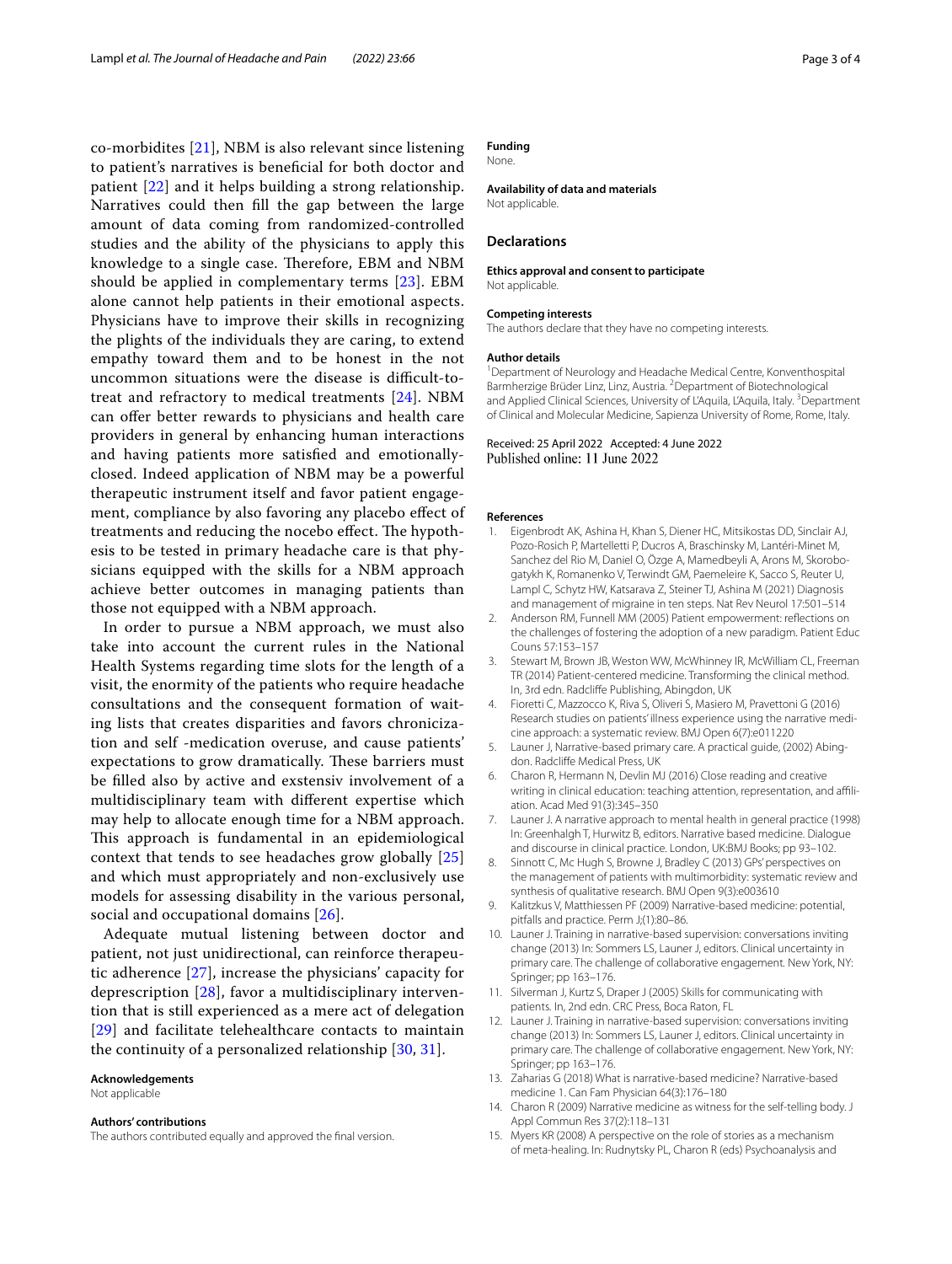co-morbidites [[21\]](#page-3-5), NBM is also relevant since listening to patient's narratives is benefcial for both doctor and patient [[22\]](#page-3-6) and it helps building a strong relationship. Narratives could then fll the gap between the large amount of data coming from randomized-controlled studies and the ability of the physicians to apply this knowledge to a single case. Therefore, EBM and NBM should be applied in complementary terms [[23](#page-3-7)]. EBM alone cannot help patients in their emotional aspects. Physicians have to improve their skills in recognizing the plights of the individuals they are caring, to extend empathy toward them and to be honest in the not uncommon situations were the disease is difficult-totreat and refractory to medical treatments [[24](#page-3-8)]. NBM can offer better rewards to physicians and health care providers in general by enhancing human interactions and having patients more satisfed and emotionallyclosed. Indeed application of NBM may be a powerful therapeutic instrument itself and favor patient engagement, compliance by also favoring any placebo efect of treatments and reducing the nocebo effect. The hypothesis to be tested in primary headache care is that physicians equipped with the skills for a NBM approach achieve better outcomes in managing patients than those not equipped with a NBM approach.

In order to pursue a NBM approach, we must also take into account the current rules in the National Health Systems regarding time slots for the length of a visit, the enormity of the patients who require headache consultations and the consequent formation of waiting lists that creates disparities and favors chronicization and self -medication overuse, and cause patients' expectations to grow dramatically. These barriers must be flled also by active and exstensiv involvement of a multidisciplinary team with diferent expertise which may help to allocate enough time for a NBM approach. This approach is fundamental in an epidemiological context that tends to see headaches grow globally [\[25](#page-3-9)] and which must appropriately and non-exclusively use models for assessing disability in the various personal, social and occupational domains [[26\]](#page-3-10).

Adequate mutual listening between doctor and patient, not just unidirectional, can reinforce therapeutic adherence [[27\]](#page-3-11), increase the physicians' capacity for deprescription [[28](#page-3-12)], favor a multidisciplinary intervention that is still experienced as a mere act of delegation [[29](#page-3-13)] and facilitate telehealthcare contacts to maintain the continuity of a personalized relationship [\[30](#page-3-14), [31](#page-3-15)].

#### **Acknowledgements**

Not applicable

#### **Authors' contributions**

The authors contributed equally and approved the fnal version.

# **Funding**

None.

### **Availability of data and materials**

Not applicable.

#### **Declarations**

#### **Ethics approval and consent to participate**

Not applicable.

#### **Competing interests**

The authors declare that they have no competing interests.

#### **Author details**

<sup>1</sup> Department of Neurology and Headache Medical Centre, Konventhospital Barmherzige Brüder Linz, Linz, Austria. <sup>2</sup> Department of Biotechnological and Applied Clinical Sciences, University of L'Aquila, L'Aquila, Italy.<sup>3</sup> Department of Clinical and Molecular Medicine, Sapienza University of Rome, Rome, Italy.

#### Received: 25 April 2022 Accepted: 4 June 2022 Published online: 11 June 2022

#### **References**

- <span id="page-2-0"></span>1. Eigenbrodt AK, Ashina H, Khan S, Diener HC, Mitsikostas DD, Sinclair AJ, Pozo-Rosich P, Martelletti P, Ducros A, Braschinsky M, Lantéri-Minet M, Sanchez del Rio M, Daniel O, Özge A, Mamedbeyli A, Arons M, Skorobogatykh K, Romanenko V, Terwindt GM, Paemeleire K, Sacco S, Reuter U, Lampl C, Schytz HW, Katsarava Z, Steiner TJ, Ashina M (2021) Diagnosis and management of migraine in ten steps. Nat Rev Neurol 17:501–514
- <span id="page-2-1"></span>2. Anderson RM, Funnell MM (2005) Patient empowerment: refections on the challenges of fostering the adoption of a new paradigm. Patient Educ Couns 57:153–157
- <span id="page-2-2"></span>3. Stewart M, Brown JB, Weston WW, McWhinney IR, McWilliam CL, Freeman TR (2014) Patient-centered medicine. Transforming the clinical method. In, 3rd edn. Radclife Publishing, Abingdon, UK
- <span id="page-2-3"></span>4. Fioretti C, Mazzocco K, Riva S, Oliveri S, Masiero M, Pravettoni G (2016) Research studies on patients' illness experience using the narrative medicine approach: a systematic review. BMJ Open 6(7):e011220
- <span id="page-2-4"></span>5. Launer J, Narrative-based primary care. A practical guide, (2002) Abingdon. Radclife Medical Press, UK
- <span id="page-2-5"></span>6. Charon R, Hermann N, Devlin MJ (2016) Close reading and creative writing in clinical education: teaching attention, representation, and afliation. Acad Med 91(3):345–350
- <span id="page-2-6"></span>7. Launer J. A narrative approach to mental health in general practice (1998) In: Greenhalgh T, Hurwitz B, editors. Narrative based medicine. Dialogue and discourse in clinical practice. London, UK:BMJ Books; pp 93–102.
- <span id="page-2-7"></span>8. Sinnott C, Mc Hugh S, Browne J, Bradley C (2013) GPs' perspectives on the management of patients with multimorbidity: systematic review and synthesis of qualitative research. BMJ Open 9(3):e003610
- <span id="page-2-8"></span>9. Kalitzkus V, Matthiessen PF (2009) Narrative-based medicine: potential, pitfalls and practice. Perm J;(1):80–86.
- <span id="page-2-9"></span>10. Launer J. Training in narrative-based supervision: conversations inviting change (2013) In: Sommers LS, Launer J, editors. Clinical uncertainty in primary care. The challenge of collaborative engagement*.* New York, NY: Springer; pp 163–176.
- <span id="page-2-10"></span>11. Silverman J, Kurtz S, Draper J (2005) Skills for communicating with patients*.* In, 2nd edn. CRC Press, Boca Raton, FL
- <span id="page-2-11"></span>12. Launer J. Training in narrative-based supervision: conversations inviting change (2013) In: Sommers LS, Launer J, editors. Clinical uncertainty in primary care. The challenge of collaborative engagement. New York, NY: Springer; pp 163–176.
- <span id="page-2-12"></span>13. Zaharias G (2018) What is narrative-based medicine? Narrative-based medicine 1. Can Fam Physician 64(3):176–180
- <span id="page-2-13"></span>14. Charon R (2009) Narrative medicine as witness for the self-telling body. J Appl Commun Res 37(2):118–131
- <span id="page-2-14"></span>15. Myers KR (2008) A perspective on the role of stories as a mechanism of meta-healing. In: Rudnytsky PL, Charon R (eds) Psychoanalysis and